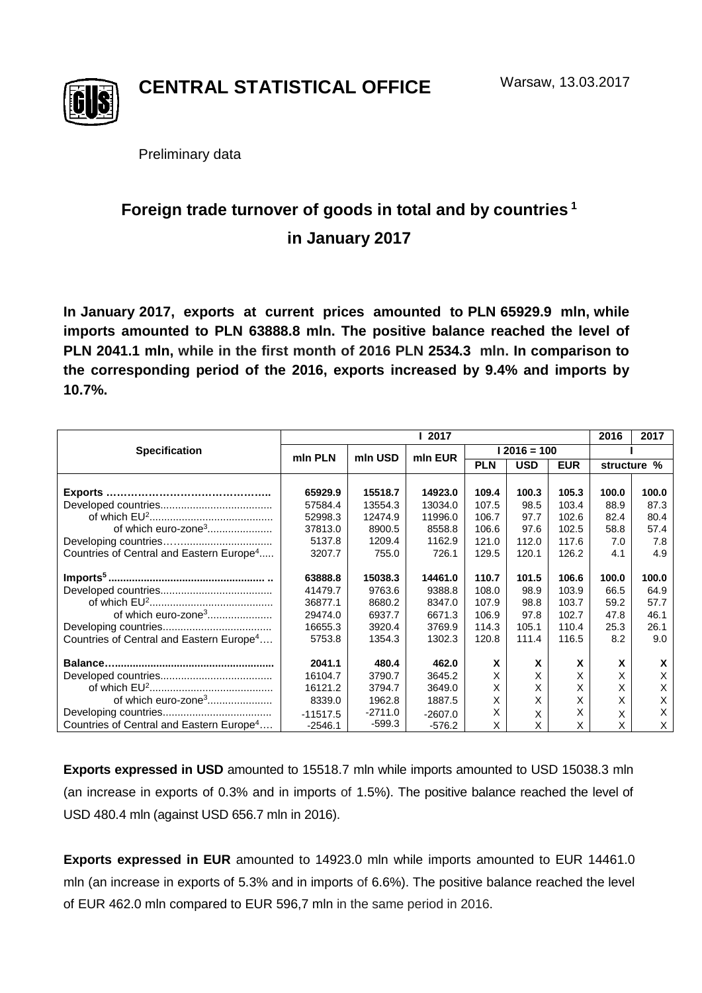

**CENTRAL STATISTICAL OFFICE**

Preliminary data

# **Foreign trade turnover of goods in total and by countries <sup>1</sup> in January 2017**

**In January 2017, exports at current prices amounted to PLN 65929.9 mln, while imports amounted to PLN 63888.8 mln. The positive balance reached the level of PLN 2041.1 mln, while in the first month of 2016 PLN 2534.3 mln. In comparison to the corresponding period of the 2016, exports increased by 9.4% and imports by 10.7%.**

|                                                      | 2017       |           |           |               |            |            | 2016        | 2017  |
|------------------------------------------------------|------------|-----------|-----------|---------------|------------|------------|-------------|-------|
| <b>Specification</b>                                 | mln PLN    | mln USD   | mln EUR   | $12016 = 100$ |            |            |             |       |
|                                                      |            |           |           | <b>PLN</b>    | <b>USD</b> | <b>EUR</b> | structure % |       |
|                                                      |            |           |           |               |            |            |             |       |
|                                                      | 65929.9    | 15518.7   | 14923.0   | 109.4         | 100.3      | 105.3      | 100.0       | 100.0 |
|                                                      | 57584.4    | 13554.3   | 13034.0   | 107.5         | 98.5       | 103.4      | 88.9        | 87.3  |
|                                                      | 52998.3    | 12474.9   | 11996.0   | 106.7         | 97.7       | 102.6      | 82.4        | 80.4  |
| of which euro-zone <sup>3</sup>                      | 37813.0    | 8900.5    | 8558.8    | 106.6         | 97.6       | 102.5      | 58.8        | 57.4  |
|                                                      | 5137.8     | 1209.4    | 1162.9    | 121.0         | 112.0      | 117.6      | 7.0         | 7.8   |
| Countries of Central and Eastern Europe <sup>4</sup> | 3207.7     | 755.0     | 726.1     | 129.5         | 120.1      | 126.2      | 4.1         | 4.9   |
|                                                      | 63888.8    | 15038.3   | 14461.0   | 110.7         | 101.5      | 106.6      | 100.0       | 100.0 |
|                                                      | 41479.7    | 9763.6    | 9388.8    | 108.0         | 98.9       | 103.9      | 66.5        | 64.9  |
|                                                      | 36877.1    | 8680.2    | 8347.0    | 107.9         | 98.8       | 103.7      | 59.2        | 57.7  |
| of which euro-zone <sup>3</sup>                      | 29474.0    | 6937.7    | 6671.3    | 106.9         | 97.8       | 102.7      | 47.8        | 46.1  |
|                                                      | 16655.3    | 3920.4    | 3769.9    | 114.3         | 105.1      | 110.4      | 25.3        | 26.1  |
| Countries of Central and Eastern Europe <sup>4</sup> | 5753.8     | 1354.3    | 1302.3    | 120.8         | 111.4      | 116.5      | 8.2         | 9.0   |
|                                                      | 2041.1     | 480.4     | 462.0     | X             | X          | x          | X           | X     |
|                                                      | 16104.7    | 3790.7    | 3645.2    | X             | X          | Χ          | X           | X     |
|                                                      | 16121.2    | 3794.7    | 3649.0    | X             | X          | Χ          | X           | X     |
| of which euro-zone <sup>3</sup>                      | 8339.0     | 1962.8    | 1887.5    | X             | X          | X          | X           | X     |
|                                                      | $-11517.5$ | $-2711.0$ | $-2607.0$ | X             | X          | Χ          | X           | X     |
| Countries of Central and Eastern Europe <sup>4</sup> | $-2546.1$  | $-599.3$  | $-576.2$  | X             | х          | X          | X           | X     |

**Exports expressed in USD** amounted to 15518.7 mln while imports amounted to USD 15038.3 mln (an increase in exports of 0.3% and in imports of 1.5%). The positive balance reached the level of USD 480.4 mln (against USD 656.7 mln in 2016).

**Exports expressed in EUR** amounted to 14923.0 mln while imports amounted to EUR 14461.0 mln (an increase in exports of 5.3% and in imports of 6.6%). The positive balance reached the level of EUR 462.0 mln compared to EUR 596,7 mln in the same period in 2016.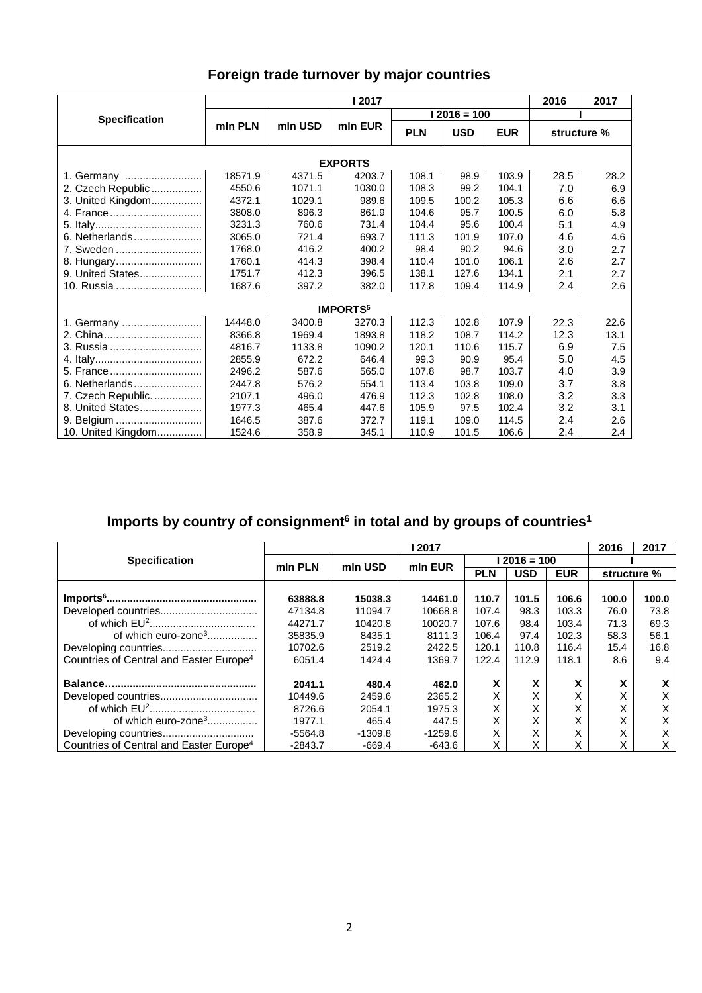### **Foreign trade turnover by major countries**

|                            | l 2017  |         |         |            |               |            |             | 2017 |  |  |
|----------------------------|---------|---------|---------|------------|---------------|------------|-------------|------|--|--|
|                            |         |         |         |            | $12016 = 100$ |            |             |      |  |  |
| <b>Specification</b>       | min PLN | mln USD | mln EUR | <b>PLN</b> | <b>USD</b>    | <b>EUR</b> | structure % |      |  |  |
| <b>EXPORTS</b>             |         |         |         |            |               |            |             |      |  |  |
| 1. Germany                 | 18571.9 | 4371.5  | 4203.7  | 108.1      | 98.9          | 103.9      | 28.5        | 28.2 |  |  |
| 2. Czech Republic          | 4550.6  | 1071.1  | 1030.0  | 108.3      | 99.2          | 104.1      | 7.0         | 6.9  |  |  |
| 3. United Kingdom          | 4372.1  | 1029.1  | 989.6   | 109.5      | 100.2         | 105.3      | 6.6         | 6.6  |  |  |
| 4. France                  | 3808.0  | 896.3   | 861.9   | 104.6      | 95.7          | 100.5      | 6.0         | 5.8  |  |  |
|                            | 3231.3  | 760.6   | 731.4   | 104.4      | 95.6          | 100.4      | 5.1         | 4.9  |  |  |
| 6. Netherlands             | 3065.0  | 721.4   | 693.7   | 111.3      | 101.9         | 107.0      | 4.6         | 4.6  |  |  |
| 7. Sweden                  | 1768.0  | 416.2   | 400.2   | 98.4       | 90.2          | 94.6       | 3.0         | 2.7  |  |  |
| 8. Hungary                 | 1760.1  | 414.3   | 398.4   | 110.4      | 101.0         | 106.1      | 2.6         | 2.7  |  |  |
| 9. United States           | 1751.7  | 412.3   | 396.5   | 138.1      | 127.6         | 134.1      | 2.1         | 2.7  |  |  |
| 10. Russia                 | 1687.6  | 397.2   | 382.0   | 117.8      | 109.4         | 114.9      | 2.4         | 2.6  |  |  |
| <b>IMPORTS<sup>5</sup></b> |         |         |         |            |               |            |             |      |  |  |
| 1. Germany                 | 14448.0 | 3400.8  | 3270.3  | 112.3      | 102.8         | 107.9      | 22.3        | 22.6 |  |  |
|                            | 8366.8  | 1969.4  | 1893.8  | 118.2      | 108.7         | 114.2      | 12.3        | 13.1 |  |  |
| 3. Russia                  | 4816.7  | 1133.8  | 1090.2  | 120.1      | 110.6         | 115.7      | 6.9         | 7.5  |  |  |
|                            | 2855.9  | 672.2   | 646.4   | 99.3       | 90.9          | 95.4       | 5.0         | 4.5  |  |  |
| 5. France                  | 2496.2  | 587.6   | 565.0   | 107.8      | 98.7          | 103.7      | 4.0         | 3.9  |  |  |
| 6. Netherlands             | 2447.8  | 576.2   | 554.1   | 113.4      | 103.8         | 109.0      | 3.7         | 3.8  |  |  |
| 7. Czech Republic.         | 2107.1  | 496.0   | 476.9   | 112.3      | 102.8         | 108.0      | 3.2         | 3.3  |  |  |
| 8. United States           | 1977.3  | 465.4   | 447.6   | 105.9      | 97.5          | 102.4      | 3.2         | 3.1  |  |  |
| 9. Belgium                 | 1646.5  | 387.6   | 372.7   | 119.1      | 109.0         | 114.5      | 2.4         | 2.6  |  |  |
| 10. United Kingdom         | 1524.6  | 358.9   | 345.1   | 110.9      | 101.5         | 106.6      | 2.4         | 2.4  |  |  |

## **Imports by country of consignment6 in total and by groups of countries1**

|                                                     | 2017      |           |           |               |            |                   |                        | 2017  |
|-----------------------------------------------------|-----------|-----------|-----------|---------------|------------|-------------------|------------------------|-------|
| <b>Specification</b>                                | min PLN   | mln USD   | min EUR   | $12016 = 100$ |            |                   |                        |       |
|                                                     |           |           |           | <b>PLN</b>    | <b>USD</b> | <b>EUR</b>        | structure %            |       |
|                                                     |           |           |           |               |            |                   |                        |       |
|                                                     | 63888.8   | 15038.3   | 14461.0   | 110.7         | 101.5      | 106.6             | 100.0                  | 100.0 |
|                                                     | 47134.8   | 11094.7   | 10668.8   | 107.4         | 98.3       | 103.3             | 76.0                   | 73.8  |
|                                                     | 44271.7   | 10420.8   | 10020.7   | 107.6         | 98.4       | 103.4             | 71.3                   | 69.3  |
| of which euro-zone <sup>3</sup>                     | 35835.9   | 8435.1    | 8111.3    | 106.4         | 97.4       | 102.3             | 58.3                   | 56.1  |
|                                                     | 10702.6   | 2519.2    | 2422.5    | 120.1         | 110.8      | 116.4             | 15.4                   | 16.8  |
| Countries of Central and Easter Europe <sup>4</sup> | 6051.4    | 1424.4    | 1369.7    | 122.4         | 112.9      | 118.1             | 8.6                    | 9.4   |
|                                                     | 2041.1    | 480.4     | 462.0     | x             | X          | v<br>$\lambda$    | x                      | x     |
| Developed countries                                 | 10449.6   | 2459.6    | 2365.2    | Χ             | X          | X                 | X                      | X     |
|                                                     | 8726.6    | 2054.1    | 1975.3    | Χ             | X          | $\checkmark$<br>⌒ | v<br>⋏                 | x     |
| of which euro-zone <sup>3</sup>                     | 1977.1    | 465.4     | 447.5     | Χ             | X          | $\checkmark$<br>⌒ | $\checkmark$<br>$\sim$ | X     |
|                                                     | $-5564.8$ | $-1309.8$ | $-1259.6$ | Χ             | X          | $\checkmark$<br>⋏ | X                      | X     |
| Countries of Central and Easter Europe <sup>4</sup> | -2843.7   | $-669.4$  | $-643.6$  |               | X          | $\checkmark$      | X                      | X     |